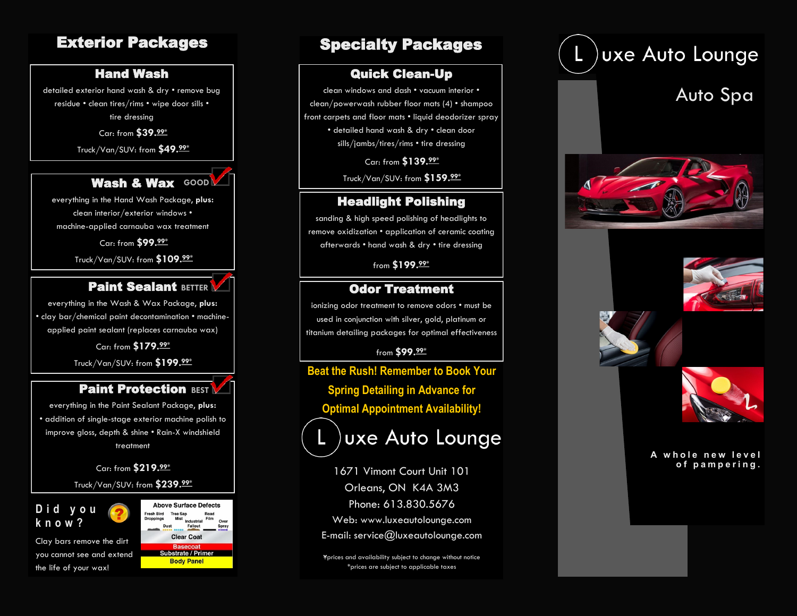# Exterior Packages

# Hand Wash

detailed exterior hand wash & dry • remove bug residue • clean tires/rims • wipe door sills • tire dressing

Car: from **\$39.99\***

Truck/Van/SUV: from **\$49.99\***



everything in the Hand Wash Package, **plus:** clean interior/exterior windows • machine -applied carnauba wax treatment

Car: from **\$99.99\***

Truck/Van/SUV: from **\$109.99\***



everything in the Wash & Wax Package, **plus:** • clay bar/chemical paint decontamination • machine applied paint sealant (replaces carnauba wax)

> Car: from **\$179.99\*** Truck/Van/SUV: from **\$199.99\***

### **Paint Protection BEST**

everything in the Paint Sealant Package, **plus:** • addition of single -stage exterior machine polish to improve gloss, depth & shine • Rain -X windshield treatment

Car: from **\$219.99\***

Truck/Van/SUV: from **\$239.99\***

# **D i d y o u k n o w ?**

Clay bars remove the dirt you cannot see and extend the life of your wax!

**Above Surface Defects Tree Sar Clear Coat Substrate / Primer Body Panel** 

# Specialty Packages

### Quick Clean -Up

clean windows and dash • vacuum interior • clean/powerwash rubber floor mats (4) • shampoo front carpets and floor mats • liquid deodorizer spray • detailed hand wash & dry • clean door sills/jambs/tires/rims • tire dressing

> Car: from **\$139.99\*** Truck/Van/SUV: from **\$159.99\***

### Headlight Polishing

sanding & high speed polishing of headlights to remove oxidization • application of ceramic coating afterwards • hand wash & dry • tire dressing

from **\$199.99\***

### Odor Treatment

ionizing odor treatment to remove odors • must be used in conjunction with silver, gold, platinum or titanium detailing packages for optimal effectiveness

from **\$99.99\***

**Beat the Rush! Remember to Book Your Spring Detailing in Advance for Optimal Appointment Availability!**

uxe Auto Lounge

**of pampering.** Orleans, ON K4A 3M3  $\mathcal{L}$  in  $\mathcal{L}$  is a second  $\mathcal{L}$  in  $\mathcal{L}$ Phone: 613.830.5676 Web: www.luxeautolounge.com E-mail: service@luxeautolounge.com

e ev \*prices are subject to applicable taxes prices and availability subject to change without notice

# )uxe Auto Lounge Auto Spa

A whole new level<br>.of pampering